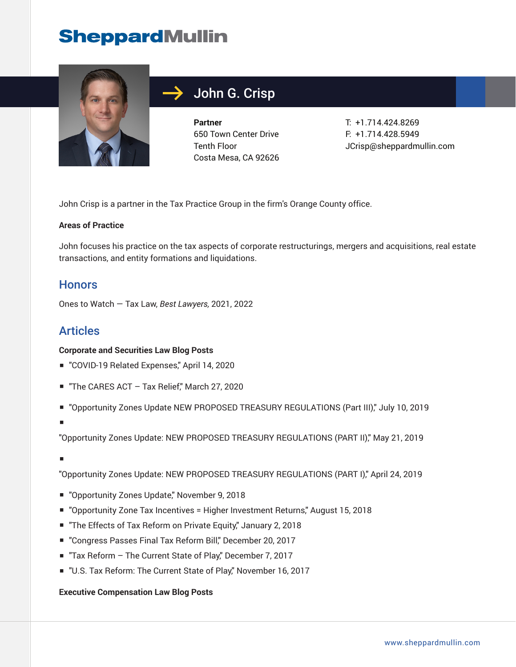## **SheppardMullin**



## John G. Crisp

**Partner** 650 Town Center Drive Tenth Floor Costa Mesa, CA 92626 T: +1.714.424.8269 F: +1.714.428.5949 JCrisp@sheppardmullin.com

John Crisp is a partner in the Tax Practice Group in the firm's Orange County office.

#### **Areas of Practice**

John focuses his practice on the tax aspects of corporate restructurings, mergers and acquisitions, real estate transactions, and entity formations and liquidations.

### **Honors**

Ones to Watch — Tax Law, *Best Lawyers,* 2021, 2022

## Articles

#### **Corporate and Securities Law Blog Posts**

- "COVID-19 Related Expenses," April 14, 2020
- "The CARES ACT Tax Relief," March 27, 2020
- "Opportunity Zones Update NEW PROPOSED TREASURY REGULATIONS (Part III)," July 10, 2019
- ■

"Opportunity Zones Update: NEW PROPOSED TREASURY REGULATIONS (PART II)," May 21, 2019

■

"Opportunity Zones Update: NEW PROPOSED TREASURY REGULATIONS (PART I)," April 24, 2019

- "Opportunity Zones Update," November 9, 2018
- "Opportunity Zone Tax Incentives = Higher Investment Returns," August 15, 2018
- "The Effects of Tax Reform on Private Equity," January 2, 2018
- "Congress Passes Final Tax Reform Bill," December 20, 2017
- "Tax Reform The Current State of Play," December 7, 2017
- "U.S. Tax Reform: The Current State of Play," November 16, 2017

#### **Executive Compensation Law Blog Posts**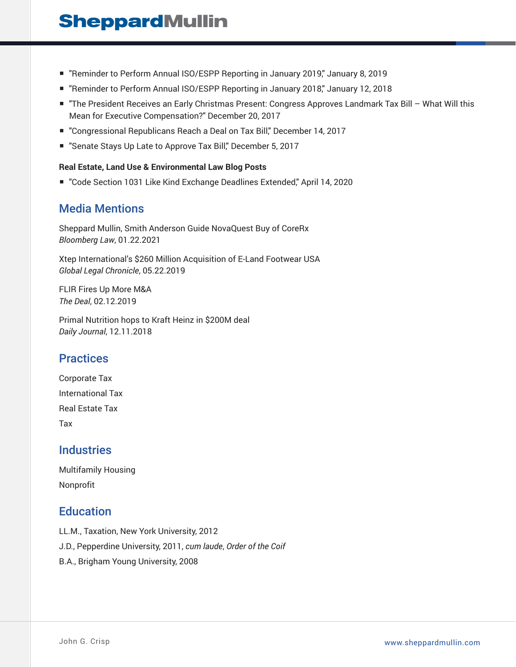## **SheppardMullin**

- "Reminder to Perform Annual ISO/ESPP Reporting in January 2019," January 8, 2019
- "Reminder to Perform Annual ISO/ESPP Reporting in January 2018," January 12, 2018
- "The President Receives an Early Christmas Present: Congress Approves Landmark Tax Bill What Will this Mean for Executive Compensation?" December 20, 2017
- "Congressional Republicans Reach a Deal on Tax Bill," December 14, 2017
- "Senate Stays Up Late to Approve Tax Bill," December 5, 2017

#### **Real Estate, Land Use & Environmental Law Blog Posts**

■ "Code Section 1031 Like Kind Exchange Deadlines Extended," April 14, 2020

### Media Mentions

Sheppard Mullin, Smith Anderson Guide NovaQuest Buy of CoreRx *Bloomberg Law*, 01.22.2021

Xtep International's \$260 Million Acquisition of E-Land Footwear USA *Global Legal Chronicle*, 05.22.2019

FLIR Fires Up More M&A *The Deal*, 02.12.2019

Primal Nutrition hops to Kraft Heinz in \$200M deal *Daily Journal*, 12.11.2018

## **Practices**

Corporate Tax International Tax Real Estate Tax Tax

### **Industries**

Multifamily Housing Nonprofit

## **Education**

LL.M., Taxation, New York University, 2012 J.D., Pepperdine University, 2011, *cum laude*, *Order of the Coif* B.A., Brigham Young University, 2008